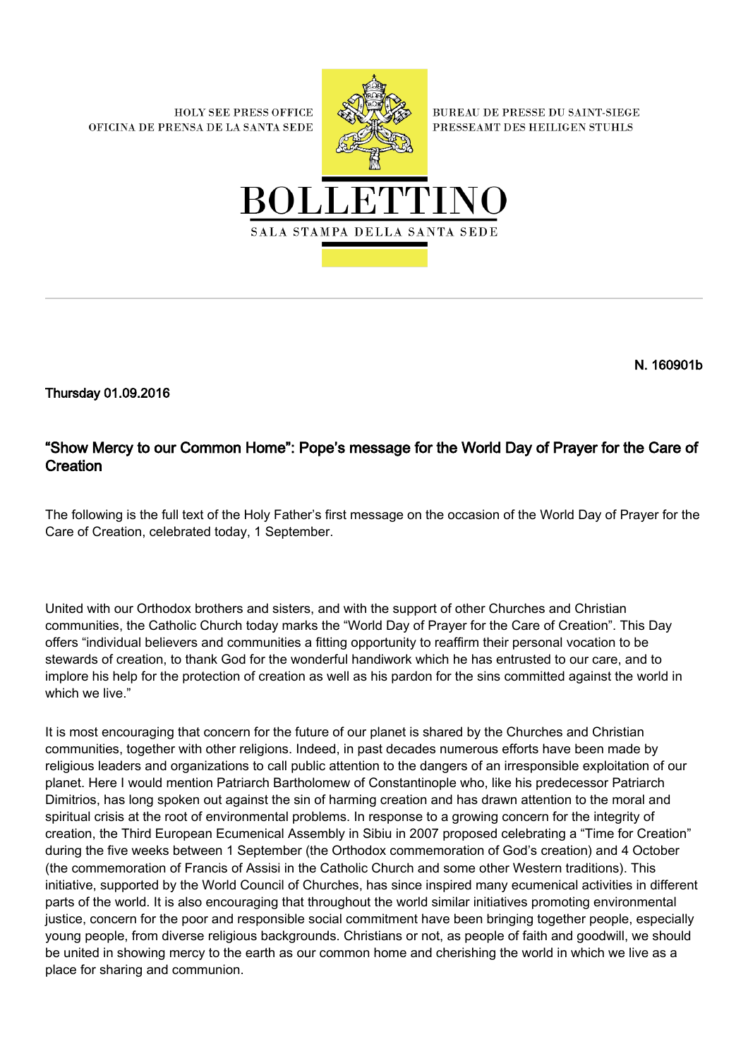**HOLY SEE PRESS OFFICE** OFICINA DE PRENSA DE LA SANTA SEDE



**BUREAU DE PRESSE DU SAINT-SIEGE** PRESSEAMT DES HEILIGEN STUHLS



N. 160901b

Thursday 01.09.2016

# "Show Mercy to our Common Home": Pope's message for the World Day of Prayer for the Care of **Creation**

The following is the full text of the Holy Father's first message on the occasion of the World Day of Prayer for the Care of Creation, celebrated today, 1 September.

United with our Orthodox brothers and sisters, and with the support of other Churches and Christian communities, the Catholic Church today marks the "World Day of Prayer for the Care of Creation". This Day offers "individual believers and communities a fitting opportunity to reaffirm their personal vocation to be stewards of creation, to thank God for the wonderful handiwork which he has entrusted to our care, and to implore his help for the protection of creation as well as his pardon for the sins committed against the world in which we live."

It is most encouraging that concern for the future of our planet is shared by the Churches and Christian communities, together with other religions. Indeed, in past decades numerous efforts have been made by religious leaders and organizations to call public attention to the dangers of an irresponsible exploitation of our planet. Here I would mention Patriarch Bartholomew of Constantinople who, like his predecessor Patriarch Dimitrios, has long spoken out against the sin of harming creation and has drawn attention to the moral and spiritual crisis at the root of environmental problems. In response to a growing concern for the integrity of creation, the Third European Ecumenical Assembly in Sibiu in 2007 proposed celebrating a "Time for Creation" during the five weeks between 1 September (the Orthodox commemoration of God's creation) and 4 October (the commemoration of Francis of Assisi in the Catholic Church and some other Western traditions). This initiative, supported by the World Council of Churches, has since inspired many ecumenical activities in different parts of the world. It is also encouraging that throughout the world similar initiatives promoting environmental justice, concern for the poor and responsible social commitment have been bringing together people, especially young people, from diverse religious backgrounds. Christians or not, as people of faith and goodwill, we should be united in showing mercy to the earth as our common home and cherishing the world in which we live as a place for sharing and communion.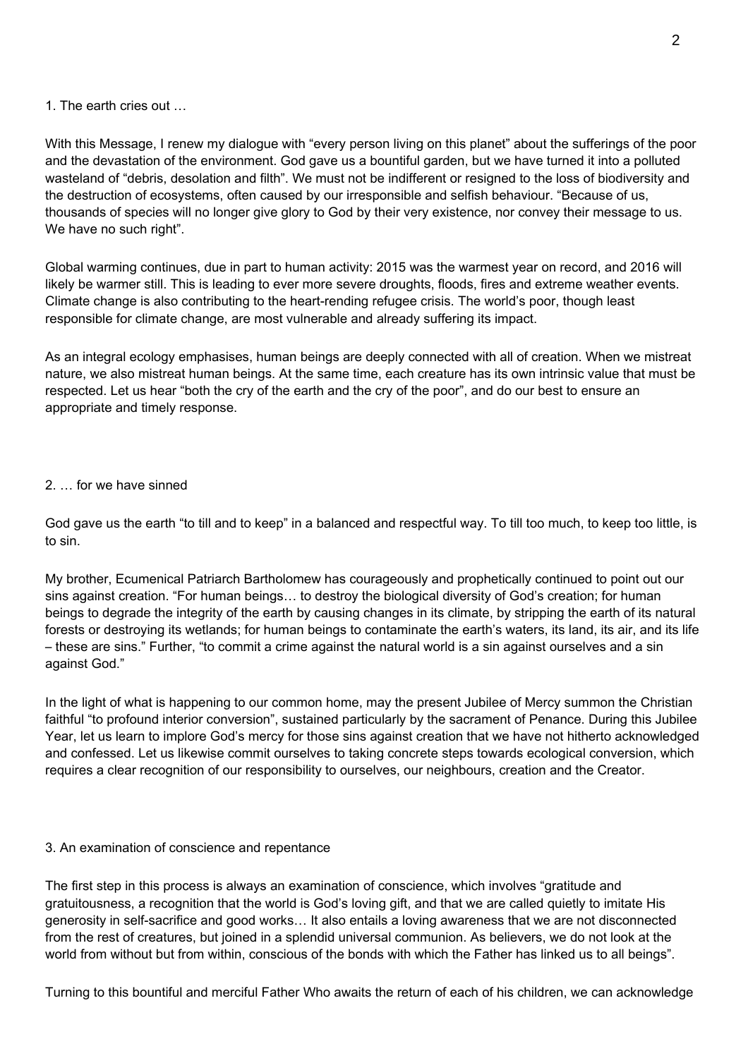### 1. The earth cries out …

With this Message, I renew my dialogue with "every person living on this planet" about the sufferings of the poor and the devastation of the environment. God gave us a bountiful garden, but we have turned it into a polluted wasteland of "debris, desolation and filth". We must not be indifferent or resigned to the loss of biodiversity and the destruction of ecosystems, often caused by our irresponsible and selfish behaviour. "Because of us, thousands of species will no longer give glory to God by their very existence, nor convey their message to us. We have no such right".

Global warming continues, due in part to human activity: 2015 was the warmest year on record, and 2016 will likely be warmer still. This is leading to ever more severe droughts, floods, fires and extreme weather events. Climate change is also contributing to the heart-rending refugee crisis. The world's poor, though least responsible for climate change, are most vulnerable and already suffering its impact.

As an integral ecology emphasises, human beings are deeply connected with all of creation. When we mistreat nature, we also mistreat human beings. At the same time, each creature has its own intrinsic value that must be respected. Let us hear "both the cry of the earth and the cry of the poor", and do our best to ensure an appropriate and timely response.

## 2. … for we have sinned

God gave us the earth "to till and to keep" in a balanced and respectful way. To till too much, to keep too little, is to sin.

My brother, Ecumenical Patriarch Bartholomew has courageously and prophetically continued to point out our sins against creation. "For human beings… to destroy the biological diversity of God's creation; for human beings to degrade the integrity of the earth by causing changes in its climate, by stripping the earth of its natural forests or destroying its wetlands; for human beings to contaminate the earth's waters, its land, its air, and its life – these are sins." Further, "to commit a crime against the natural world is a sin against ourselves and a sin against God."

In the light of what is happening to our common home, may the present Jubilee of Mercy summon the Christian faithful "to profound interior conversion", sustained particularly by the sacrament of Penance. During this Jubilee Year, let us learn to implore God's mercy for those sins against creation that we have not hitherto acknowledged and confessed. Let us likewise commit ourselves to taking concrete steps towards ecological conversion, which requires a clear recognition of our responsibility to ourselves, our neighbours, creation and the Creator.

### 3. An examination of conscience and repentance

The first step in this process is always an examination of conscience, which involves "gratitude and gratuitousness, a recognition that the world is God's loving gift, and that we are called quietly to imitate His generosity in self-sacrifice and good works… It also entails a loving awareness that we are not disconnected from the rest of creatures, but joined in a splendid universal communion. As believers, we do not look at the world from without but from within, conscious of the bonds with which the Father has linked us to all beings".

Turning to this bountiful and merciful Father Who awaits the return of each of his children, we can acknowledge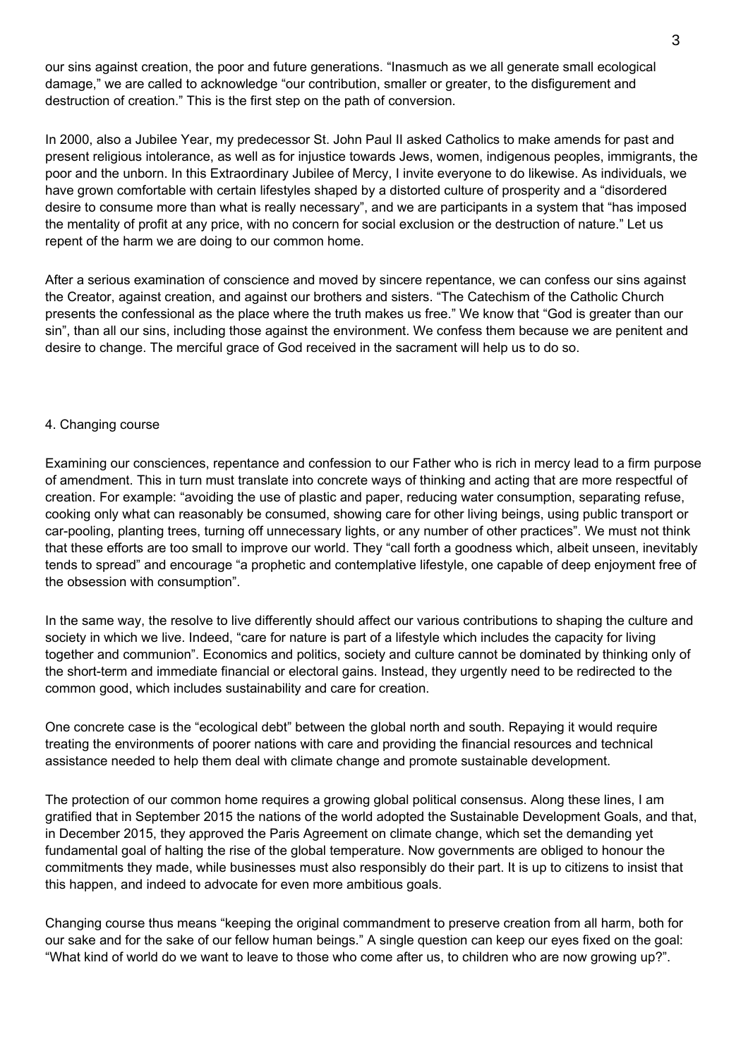our sins against creation, the poor and future generations. "Inasmuch as we all generate small ecological damage," we are called to acknowledge "our contribution, smaller or greater, to the disfigurement and destruction of creation." This is the first step on the path of conversion.

In 2000, also a Jubilee Year, my predecessor St. John Paul II asked Catholics to make amends for past and present religious intolerance, as well as for injustice towards Jews, women, indigenous peoples, immigrants, the poor and the unborn. In this Extraordinary Jubilee of Mercy, I invite everyone to do likewise. As individuals, we have grown comfortable with certain lifestyles shaped by a distorted culture of prosperity and a "disordered desire to consume more than what is really necessary", and we are participants in a system that "has imposed the mentality of profit at any price, with no concern for social exclusion or the destruction of nature." Let us repent of the harm we are doing to our common home.

After a serious examination of conscience and moved by sincere repentance, we can confess our sins against the Creator, against creation, and against our brothers and sisters. "The Catechism of the Catholic Church presents the confessional as the place where the truth makes us free." We know that "God is greater than our sin", than all our sins, including those against the environment. We confess them because we are penitent and desire to change. The merciful grace of God received in the sacrament will help us to do so.

### 4. Changing course

Examining our consciences, repentance and confession to our Father who is rich in mercy lead to a firm purpose of amendment. This in turn must translate into concrete ways of thinking and acting that are more respectful of creation. For example: "avoiding the use of plastic and paper, reducing water consumption, separating refuse, cooking only what can reasonably be consumed, showing care for other living beings, using public transport or car-pooling, planting trees, turning off unnecessary lights, or any number of other practices". We must not think that these efforts are too small to improve our world. They "call forth a goodness which, albeit unseen, inevitably tends to spread" and encourage "a prophetic and contemplative lifestyle, one capable of deep enjoyment free of the obsession with consumption".

In the same way, the resolve to live differently should affect our various contributions to shaping the culture and society in which we live. Indeed, "care for nature is part of a lifestyle which includes the capacity for living together and communion". Economics and politics, society and culture cannot be dominated by thinking only of the short-term and immediate financial or electoral gains. Instead, they urgently need to be redirected to the common good, which includes sustainability and care for creation.

One concrete case is the "ecological debt" between the global north and south. Repaying it would require treating the environments of poorer nations with care and providing the financial resources and technical assistance needed to help them deal with climate change and promote sustainable development.

The protection of our common home requires a growing global political consensus. Along these lines, I am gratified that in September 2015 the nations of the world adopted the Sustainable Development Goals, and that, in December 2015, they approved the Paris Agreement on climate change, which set the demanding yet fundamental goal of halting the rise of the global temperature. Now governments are obliged to honour the commitments they made, while businesses must also responsibly do their part. It is up to citizens to insist that this happen, and indeed to advocate for even more ambitious goals.

Changing course thus means "keeping the original commandment to preserve creation from all harm, both for our sake and for the sake of our fellow human beings." A single question can keep our eyes fixed on the goal: "What kind of world do we want to leave to those who come after us, to children who are now growing up?".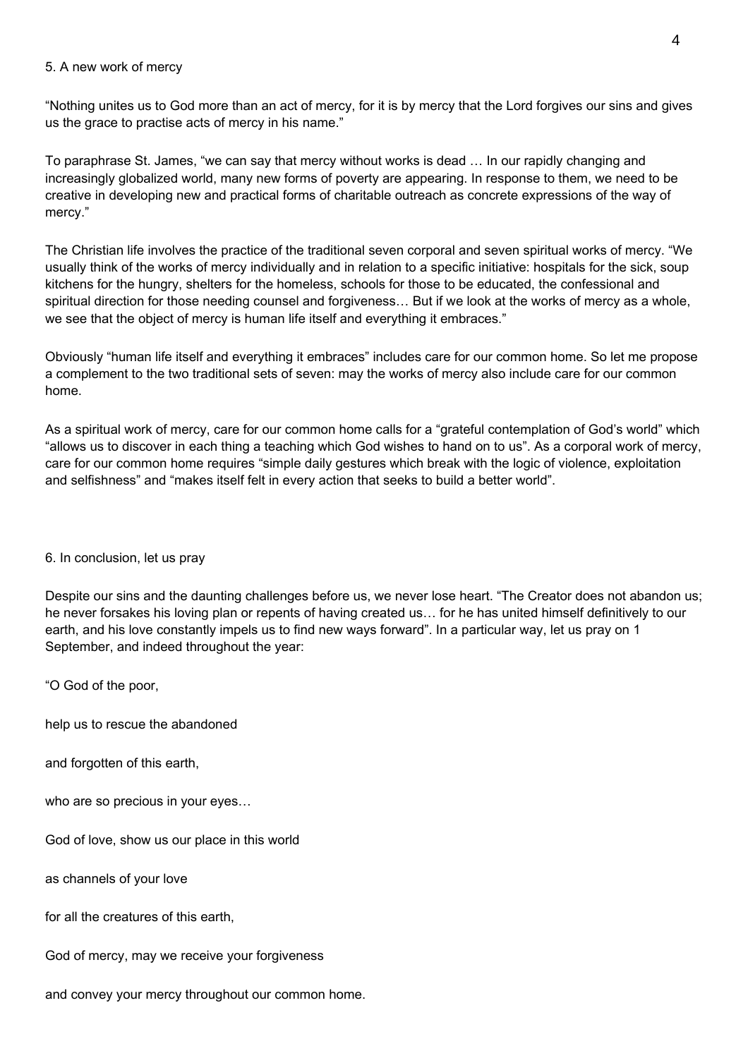#### 5. A new work of mercy

"Nothing unites us to God more than an act of mercy, for it is by mercy that the Lord forgives our sins and gives us the grace to practise acts of mercy in his name."

To paraphrase St. James, "we can say that mercy without works is dead … In our rapidly changing and increasingly globalized world, many new forms of poverty are appearing. In response to them, we need to be creative in developing new and practical forms of charitable outreach as concrete expressions of the way of mercy."

The Christian life involves the practice of the traditional seven corporal and seven spiritual works of mercy. "We usually think of the works of mercy individually and in relation to a specific initiative: hospitals for the sick, soup kitchens for the hungry, shelters for the homeless, schools for those to be educated, the confessional and spiritual direction for those needing counsel and forgiveness… But if we look at the works of mercy as a whole, we see that the object of mercy is human life itself and everything it embraces."

Obviously "human life itself and everything it embraces" includes care for our common home. So let me propose a complement to the two traditional sets of seven: may the works of mercy also include care for our common home.

As a spiritual work of mercy, care for our common home calls for a "grateful contemplation of God's world" which "allows us to discover in each thing a teaching which God wishes to hand on to us". As a corporal work of mercy, care for our common home requires "simple daily gestures which break with the logic of violence, exploitation and selfishness" and "makes itself felt in every action that seeks to build a better world".

### 6. In conclusion, let us pray

Despite our sins and the daunting challenges before us, we never lose heart. "The Creator does not abandon us; he never forsakes his loving plan or repents of having created us… for he has united himself definitively to our earth, and his love constantly impels us to find new ways forward". In a particular way, let us pray on 1 September, and indeed throughout the year:

"O God of the poor,

help us to rescue the abandoned

and forgotten of this earth,

who are so precious in your eyes…

God of love, show us our place in this world

as channels of your love

for all the creatures of this earth.

God of mercy, may we receive your forgiveness

and convey your mercy throughout our common home.